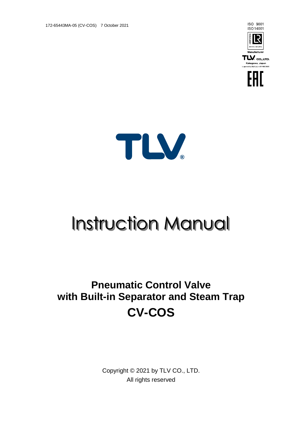172-65443MA-05 (CV-COS) 7 October 2021







# **Instruction Manual**

## **Pneumatic Control Valve with Built-in Separator and Steam Trap CV-COS**

Copyright © 2021 by TLV CO., LTD. All rights reserved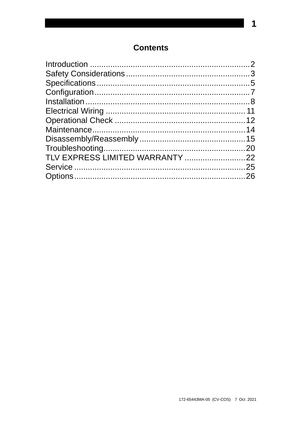## **Contents**

 $\overline{\mathbf{1}}$ 

| TLV EXPRESS LIMITED WARRANTY 22 |  |
|---------------------------------|--|
|                                 |  |
|                                 |  |
|                                 |  |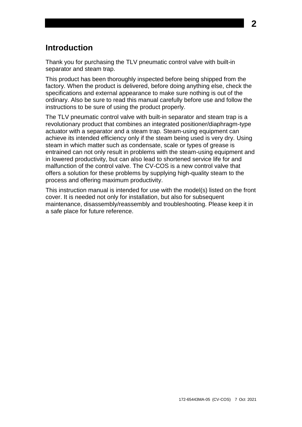## <span id="page-2-0"></span>**Introduction**

Thank you for purchasing the TLV pneumatic control valve with built-in separator and steam trap.

This product has been thoroughly inspected before being shipped from the factory. When the product is delivered, before doing anything else, check the specifications and external appearance to make sure nothing is out of the ordinary. Also be sure to read this manual carefully before use and follow the instructions to be sure of using the product properly.

The TLV pneumatic control valve with built-in separator and steam trap is a revolutionary product that combines an integrated positioner/diaphragm-type actuator with a separator and a steam trap. Steam-using equipment can achieve its intended efficiency only if the steam being used is very dry. Using steam in which matter such as condensate, scale or types of grease is entrained can not only result in problems with the steam-using equipment and in lowered productivity, but can also lead to shortened service life for and malfunction of the control valve. The CV-COS is a new control valve that offers a solution for these problems by supplying high-quality steam to the process and offering maximum productivity.

This instruction manual is intended for use with the model(s) listed on the front cover. It is needed not only for installation, but also for subsequent maintenance, disassembly/reassembly and troubleshooting. Please keep it in a safe place for future reference.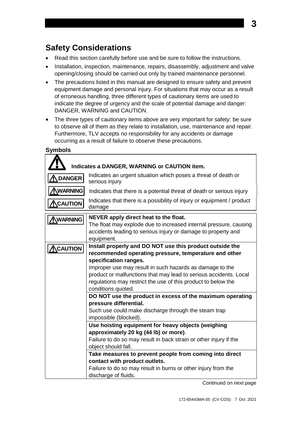## <span id="page-3-0"></span>**Safety Considerations**

- Read this section carefully before use and be sure to follow the instructions.
- Installation, inspection, maintenance, repairs, disassembly, adjustment and valve opening/closing should be carried out only by trained maintenance personnel.
- The precautions listed in this manual are designed to ensure safety and prevent equipment damage and personal injury. For situations that may occur as a result of erroneous handling, three different types of cautionary items are used to indicate the degree of urgency and the scale of potential damage and danger: DANGER, WARNING and CAUTION.
- The three types of cautionary items above are very important for safety: be sure to observe all of them as they relate to installation, use, maintenance and repair. Furthermore, TLV accepts no responsibility for any accidents or damage occurring as a result of failure to observe these precautions.

#### **Symbols Indicates a DANGER, WARNING or CAUTION item.** Indicates an urgent situation which poses a threat of death or serious injury Indicates that there is a potential threat of death or serious injury Indicates that there is a possibility of injury or equipment / product damage **NEVER apply direct heat to the float.** The float may explode due to increased internal pressure, causing accidents leading to serious injury or damage to property and equipment. **Install properly and DO NOT use this product outside the recommended operating pressure, temperature and other specification ranges.** Improper use may result in such hazards as damage to the product or malfunctions that may lead to serious accidents. Local regulations may restrict the use of this product to below the conditions quoted. **DO NOT use the product in excess of the maximum operating pressure differential.** Such use could make discharge through the steam trap impossible (blocked). **Use hoisting equipment for heavy objects (weighing approximately 20 kg (44 lb) or more)**. Failure to do so may result in back strain or other injury if the object should fall. **Take measures to prevent people from coming into direct contact with product outlets.** Failure to do so may result in burns or other injury from the discharge of fluids. **DANGER WARNING CAUTION WARNING ACAUTION**

Continued on next page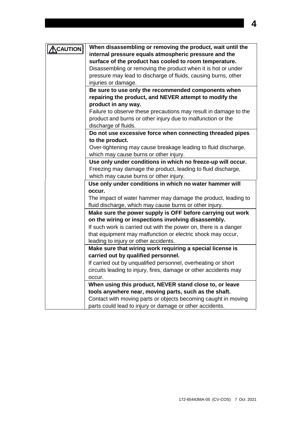| <b>CAUTION</b> | When disassembling or removing the product, wait until the       |
|----------------|------------------------------------------------------------------|
|                | internal pressure equals atmospheric pressure and the            |
|                | surface of the product has cooled to room temperature.           |
|                | Disassembling or removing the product when it is hot or under    |
|                | pressure may lead to discharge of fluids, causing burns, other   |
|                | injuries or damage.                                              |
|                | Be sure to use only the recommended components when              |
|                | repairing the product, and NEVER attempt to modify the           |
|                | product in any way.                                              |
|                | Failure to observe these precautions may result in damage to the |
|                | product and burns or other injury due to malfunction or the      |
|                | discharge of fluids.                                             |
|                | Do not use excessive force when connecting threaded pipes        |
|                | to the product.                                                  |
|                | Over-tightening may cause breakage leading to fluid discharge,   |
|                | which may cause burns or other injury.                           |
|                | Use only under conditions in which no freeze-up will occur.      |
|                | Freezing may damage the product, leading to fluid discharge,     |
|                | which may cause burns or other injury.                           |
|                | Use only under conditions in which no water hammer will          |
|                | occur.                                                           |
|                | The impact of water hammer may damage the product, leading to    |
|                | fluid discharge, which may cause burns or other injury.          |
|                | Make sure the power supply is OFF before carrying out work       |
|                | on the wiring or inspections involving disassembly.              |
|                | If such work is carried out with the power on, there is a danger |
|                | that equipment may malfunction or electric shock may occur,      |
|                | leading to injury or other accidents.                            |
|                | Make sure that wiring work requiring a special license is        |
|                | carried out by qualified personnel.                              |
|                | If carried out by unqualified personnel, overheating or short    |
|                | circuits leading to injury, fires, damage or other accidents may |
|                | occur.                                                           |
|                | When using this product, NEVER stand close to, or leave          |
|                | tools anywhere near, moving parts, such as the shaft.            |
|                | Contact with moving parts or objects becoming caught in moving   |
|                | parts could lead to injury or damage or other accidents.         |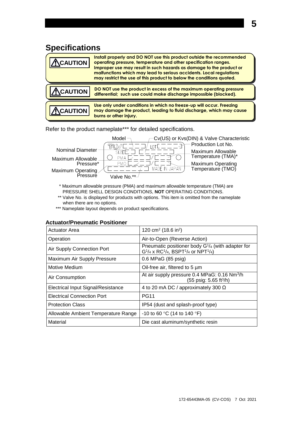## <span id="page-5-0"></span>**Specifications**

| <b>CAUTION</b> | Install properly and DO NOT use this product outside the recommended<br>operating pressure, temperature and other specification ranges.<br>Improper use may result in such hazards as damage to the product or<br>malfunctions which may lead to serious accidents. Local regulations<br>may restrict the use of this product to below the conditions quoted. |
|----------------|---------------------------------------------------------------------------------------------------------------------------------------------------------------------------------------------------------------------------------------------------------------------------------------------------------------------------------------------------------------|
| <b>CAUTION</b> | DO NOT use the product in excess of the maximum operating pressure<br>differential; such use could make discharge impossible (blocked).                                                                                                                                                                                                                       |
| <b>CAUTION</b> | Use only under conditions in which no freeze-up will occur. Freezing<br>may damage the product, leading to fluid discharge, which may cause<br>burns or other injury.                                                                                                                                                                                         |

Refer to the product nameplate\*\*\* for detailed specifications.



\* Maximum allowable pressure (PMA) and maximum allowable temperature (TMA) are PRESSURE SHELL DESIGN CONDITIONS, **NOT** OPERATING CONDITIONS.

- \*\* Valve No. is displayed for products with options. This item is omitted from the nameplate when there are no options.
- \*\*\* Nameplate layout depends on product specifications.

#### **Actuator/Pneumatic Positioner**

| <b>Actuator Area</b>                | 120 cm <sup>2</sup> (18.6 in <sup>2</sup> )                                                                                                                           |
|-------------------------------------|-----------------------------------------------------------------------------------------------------------------------------------------------------------------------|
| Operation                           | Air-to-Open (Reverse Action)                                                                                                                                          |
| Air Supply Connection Port          | Pneumatic positioner body $G1/4$ (with adapter for<br>$G1/4$ x RC <sup>1</sup> / <sub>4</sub> , BSPT <sup>1</sup> / <sub>4</sub> or NPT <sup>1</sup> / <sub>4</sub> ) |
| Maximum Air Supply Pressure         | 0.6 MPaG (85 psig)                                                                                                                                                    |
| Motive Medium                       | Oil-free air, filtered to 5 $\mu$ m                                                                                                                                   |
| Air Consumption                     | At air supply pressure 0.4 MPaG: 0.16 Nm <sup>3</sup> /h<br>(55 psig: 5.65 ft <sup>3</sup> /h)                                                                        |
| Electrical Input Signal/Resistance  | 4 to 20 mA DC / approximately 300 $\Omega$                                                                                                                            |
| <b>Electrical Connection Port</b>   | <b>PG11</b>                                                                                                                                                           |
| <b>Protection Class</b>             | IP54 (dust and splash-proof type)                                                                                                                                     |
| Allowable Ambient Temperature Range | -10 to 60 °C (14 to 140 °F)                                                                                                                                           |
| Material                            | Die cast aluminum/synthetic resin                                                                                                                                     |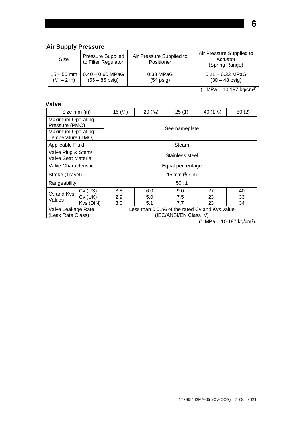#### **Air Supply Pressure**

| Size                   | Air Pressure Supplied to<br><b>Pressure Supplied</b><br>to Filter Regulator<br>Positioner |                     | Air Pressure Supplied to<br>Actuator<br>(Spring Range) |
|------------------------|-------------------------------------------------------------------------------------------|---------------------|--------------------------------------------------------|
| $(1/2 - 2 \text{ in})$ | $15 - 50$ mm $\vert$ 0.40 - 0.60 MPaG                                                     | $0.38$ MPaG         | $0.21 - 0.33$ MPaG                                     |
|                        | $(55 - 85 \text{ psig})$                                                                  | $(54 \text{ psig})$ | $(30 - 48 \text{ psig})$                               |

(1 MPa = 10.197 kg/cm<sup>2</sup> )

**6**

#### **Valve**

| Size mm (in)                                                                                                       |                                      | 15(1/2)          | 20(3/4)<br>25(1)<br>40 $(11/2)$ |       | 50(2) |    |
|--------------------------------------------------------------------------------------------------------------------|--------------------------------------|------------------|---------------------------------|-------|-------|----|
| <b>Maximum Operating</b><br>Pressure (PMO)                                                                         |                                      |                  |                                 |       |       |    |
| See nameplate<br><b>Maximum Operating</b><br>Temperature (TMO)                                                     |                                      |                  |                                 |       |       |    |
| Applicable Fluid                                                                                                   |                                      |                  |                                 | Steam |       |    |
| Valve Plug & Stem/<br>Valve Seat Material                                                                          |                                      | Stainless steel  |                                 |       |       |    |
| Valve Characteristic                                                                                               |                                      | Equal percentage |                                 |       |       |    |
|                                                                                                                    | 15 mm $(9/16$ in)<br>Stroke (Travel) |                  |                                 |       |       |    |
| Rangeability                                                                                                       |                                      |                  |                                 | 50:1  |       |    |
| Cv and Kvs                                                                                                         | $Cv$ (US)                            | 3.5              | 6.0                             | 9.0   | 27    | 40 |
| Values                                                                                                             | Cv (UK)                              | 2.9              | 5.0                             | 7.5   | 23    | 33 |
|                                                                                                                    | Kvs (DIN)                            | 3.0              | 34                              |       |       |    |
| Less than 0.01% of the rated Cv and Kvs value<br>Valve Leakage Rate<br>(Leak Rate Class)<br>(IEC/ANSI/EN Class IV) |                                      |                  |                                 |       |       |    |

 $(1 \text{ MPa} = 10.197 \text{ kg/cm}^2)$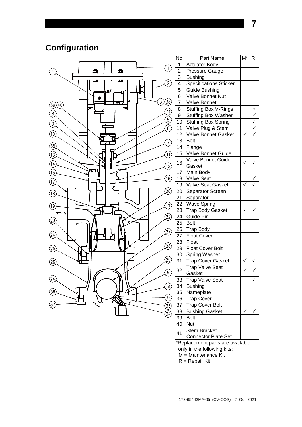## <span id="page-7-0"></span>**Configuration**



\*Replacement parts are available only in the following kits:

M = Maintenance Kit

R = Repair Kit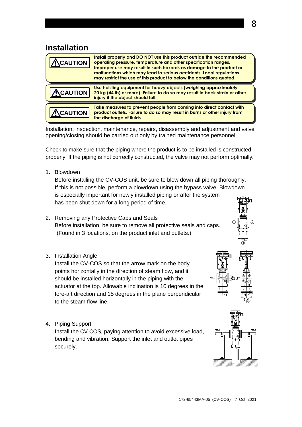### <span id="page-8-0"></span>**Installation**

| <b>CAUTION</b>  | Install properly and DO NOT use this product outside the recommended<br>operating pressure, temperature and other specification ranges.<br>Improper use may result in such hazards as damage to the product or<br>malfunctions which may lead to serious accidents. Local regulations<br>may restrict the use of this product to below the conditions quoted. |
|-----------------|---------------------------------------------------------------------------------------------------------------------------------------------------------------------------------------------------------------------------------------------------------------------------------------------------------------------------------------------------------------|
| <b>CAUTION</b>  | Use hoisting equipment for heavy objects (weighing approximately<br>20 kg (44 lb) or more). Failure to do so may result in back strain or other<br>injury if the object should fall.                                                                                                                                                                          |
| <b>CAUTION'</b> | Take measures to prevent people from coming into direct contact with<br>product outlets. Failure to do so may result in burns or other injury from<br>the discharge of fluids.                                                                                                                                                                                |

Installation, inspection, maintenance, repairs, disassembly and adjustment and valve opening/closing should be carried out only by trained maintenance personnel.

Check to make sure that the piping where the product is to be installed is constructed properly. If the piping is not correctly constructed, the valve may not perform optimally.

1. Blowdown

Before installing the CV-COS unit, be sure to blow down all piping thoroughly. If this is not possible, perform a blowdown using the bypass valve. Blowdown is especially important for newly installed piping or after the system has been shut down for a long period of time.

- 2. Removing any Protective Caps and Seals Before installation, be sure to remove all protective seals and caps. (Found in 3 locations, on the product inlet and outlets.)
- 3. Installation Angle

Install the CV-COS so that the arrow mark on the body points horizontally in the direction of steam flow, and it should be installed horizontally in the piping with the actuator at the top. Allowable inclination is 10 degrees in the fore-aft direction and 15 degrees in the plane perpendicular to the steam flow line.

4. Piping Support

Install the CV-COS, paying attention to avoid excessive load, bending and vibration. Support the inlet and outlet pipes securely.



 $\mathbb{O}$   $\left|\frac{1}{2}\right|$   $\mathbb{O}$ 

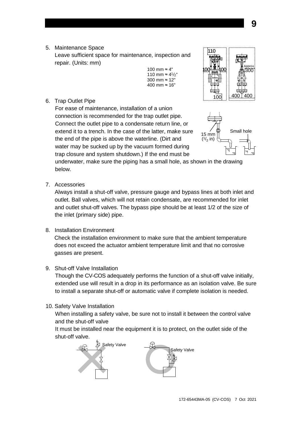5. Maintenance Space

Leave sufficient space for maintenance, inspection and repair. (Units: mm)

100 mm ≈ 4" 110 mm ≈  $4^{1}/2$ " 300 mm ≈ 12" 400 mm ≈ 16"



6. Trap Outlet Pipe

For ease of maintenance, installation of a union connection is recommended for the trap outlet pipe. Connect the outlet pipe to a condensate return line, or extend it to a trench. In the case of the latter, make sure the end of the pipe is above the waterline. (Dirt and water may be sucked up by the vacuum formed during trap closure and system shutdown.) If the end must be



underwater, make sure the piping has a small hole, as shown in the drawing below.

7. Accessories

Always install a shut-off valve, pressure gauge and bypass lines at both inlet and outlet. Ball valves, which will not retain condensate, are recommended for inlet and outlet shut-off valves. The bypass pipe should be at least 1/2 of the size of the inlet (primary side) pipe.

- 8. Installation Environment Check the installation environment to make sure that the ambient temperature does not exceed the actuator ambient temperature limit and that no corrosive gasses are present.
- 9. Shut-off Valve Installation

Though the CV-COS adequately performs the function of a shut-off valve initially, extended use will result in a drop in its performance as an isolation valve. Be sure to install a separate shut-off or automatic valve if complete isolation is needed.

10. Safety Valve Installation

When installing a safety valve, be sure not to install it between the control valve and the shut-off valve

It must be installed near the equipment it is to protect, on the outlet side of the shut-off valve.

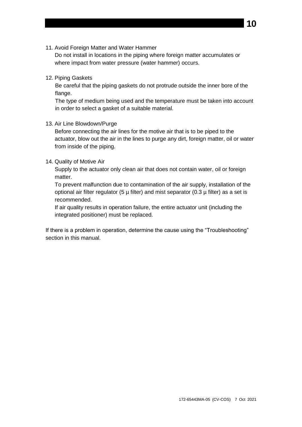11. Avoid Foreign Matter and Water Hammer

Do not install in locations in the piping where foreign matter accumulates or where impact from water pressure (water hammer) occurs.

12. Piping Gaskets

Be careful that the piping gaskets do not protrude outside the inner bore of the flange.

The type of medium being used and the temperature must be taken into account in order to select a gasket of a suitable material.

#### 13. Air Line Blowdown/Purge

Before connecting the air lines for the motive air that is to be piped to the actuator, blow out the air in the lines to purge any dirt, foreign matter, oil or water from inside of the piping.

#### 14. Quality of Motive Air

Supply to the actuator only clean air that does not contain water, oil or foreign matter.

To prevent malfunction due to contamination of the air supply, installation of the optional air filter regulator (5  $\mu$  filter) and mist separator (0.3  $\mu$  filter) as a set is recommended.

If air quality results in operation failure, the entire actuator unit (including the integrated positioner) must be replaced.

If there is a problem in operation, determine the cause using the "Troubleshooting" section in this manual.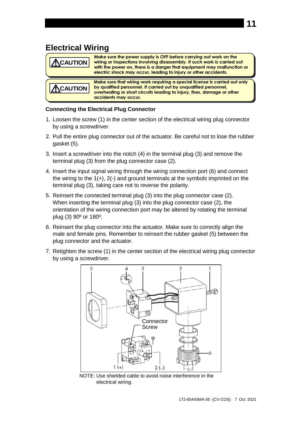## <span id="page-11-0"></span>**Electrical Wiring**

| <b>NCAUTION</b> | Make sure the power supply is OFF before carrying out work on the<br>wiring or inspections involving disassembly. If such work is carried out<br>with the power on, there is a danger that equipment may malfunction or<br>electric shock may occur, leading to injury or other accidents. |
|-----------------|--------------------------------------------------------------------------------------------------------------------------------------------------------------------------------------------------------------------------------------------------------------------------------------------|
| <b>ACAUTION</b> | Make sure that wiring work requiring a special license is carried out only<br>by qualified personnel. If carried out by unqualified personnel,<br>overheating or short circuits leading to injury, fires, damage or other<br>accidents may occur.                                          |

#### **Connecting the Electrical Plug Connector**

- 1. Loosen the screw (1) in the center section of the electrical wiring plug connector by using a screwdriver.
- 2. Pull the entire plug connector out of the actuator. Be careful not to lose the rubber gasket (5).
- 3. Insert a screwdriver into the notch (4) in the terminal plug (3) and remove the terminal plug (3) from the plug connector case (2).
- 4. Insert the input signal wiring through the wiring connection port (6) and connect the wiring to the 1(+), 2(-) and ground terminals at the symbols imprinted on the terminal plug (3), taking care not to reverse the polarity.
- 5. Reinsert the connected terminal plug (3) into the plug connector case (2). When inserting the terminal plug (3) into the plug connector case (2), the orientation of the wiring connection port may be altered by rotating the terminal plug (3) 90º or 180º.
- 6. Reinsert the plug connector into the actuator. Make sure to correctly align the male and female pins. Remember to reinsert the rubber gasket (5) between the plug connector and the actuator.
- 7. Retighten the screw (1) in the center section of the electrical wiring plug connector by using a screwdriver.



NOTE: Use shielded cable to avoid noise interference in the electrical wiring.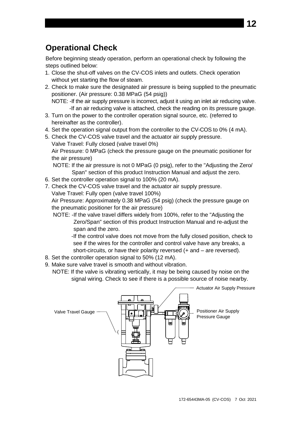## <span id="page-12-0"></span>**Operational Check**

Before beginning steady operation, perform an operational check by following the steps outlined below:

- 1. Close the shut-off valves on the CV-COS inlets and outlets. Check operation without yet starting the flow of steam.
- 2. Check to make sure the designated air pressure is being supplied to the pneumatic positioner. (Air pressure: 0.38 MPaG (54 psig)) NOTE: -If the air supply pressure is incorrect, adjust it using an inlet air reducing valve. -If an air reducing valve is attached, check the reading on its pressure gauge.
- 3. Turn on the power to the controller operation signal source, etc. (referred to hereinafter as the controller).
- 4. Set the operation signal output from the controller to the CV-COS to 0% (4 mA).
- 5. Check the CV-COS valve travel and the actuator air supply pressure. Valve Travel: Fully closed (valve travel 0%) Air Pressure: 0 MPaG (check the pressure gauge on the pneumatic positioner for the air pressure) NOTE: If the air pressure is not 0 MPaG (0 psig), refer to the "Adjusting the Zero/ Span" section of this product Instruction Manual and adjust the zero.
- 6. Set the controller operation signal to 100% (20 mA).
- 7. Check the CV-COS valve travel and the actuator air supply pressure. Valve Travel: Fully open (valve travel 100%)

Air Pressure: Approximately 0.38 MPaG (54 psig) (check the pressure gauge on the pneumatic positioner for the air pressure)

NOTE: -If the valve travel differs widely from 100%, refer to the "Adjusting the Zero/Span" section of this product Instruction Manual and re-adjust the span and the zero.

-If the control valve does not move from the fully closed position, check to see if the wires for the controller and control valve have any breaks, a short-circuits, or have their polarity reversed (+ and – are reversed).

- 8. Set the controller operation signal to 50% (12 mA).
- 9. Make sure valve travel is smooth and without vibration.

NOTE: If the valve is vibrating vertically, it may be being caused by noise on the signal wiring. Check to see if there is a possible source of noise nearby.

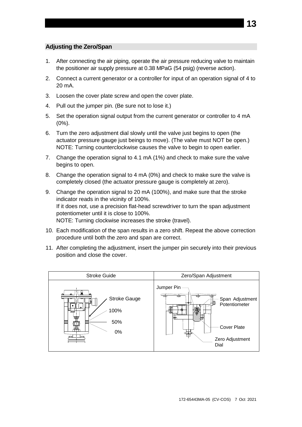#### **Adjusting the Zero/Span**

- 1. After connecting the air piping, operate the air pressure reducing valve to maintain the positioner air supply pressure at 0.38 MPaG (54 psig) (reverse action).
- 2. Connect a current generator or a controller for input of an operation signal of 4 to 20 mA.
- 3. Loosen the cover plate screw and open the cover plate.
- 4. Pull out the jumper pin. (Be sure not to lose it.)
- 5. Set the operation signal output from the current generator or controller to 4 mA (0%).
- 6. Turn the zero adjustment dial slowly until the valve just begins to open (the actuator pressure gauge just beings to move). (The valve must NOT be open.) NOTE: Turning counterclockwise causes the valve to begin to open earlier.
- 7. Change the operation signal to 4.1 mA (1%) and check to make sure the valve begins to open.
- 8. Change the operation signal to 4 mA (0%) and check to make sure the valve is completely closed (the actuator pressure gauge is completely at zero).
- 9. Change the operation signal to 20 mA (100%), and make sure that the stroke indicator reads in the vicinity of 100%. If it does not, use a precision flat-head screwdriver to turn the span adjustment potentiometer until it is close to 100%. NOTE: Turning clockwise increases the stroke (travel).
- 10. Each modification of the span results in a zero shift. Repeat the above correction procedure until both the zero and span are correct.
- 11. After completing the adjustment, insert the jumper pin securely into their previous position and close the cover.

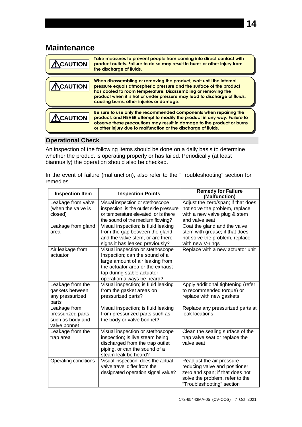## <span id="page-14-0"></span>**Maintenance**

| <b>UTION</b> | Take measures to prevent people from coming into direct contact with<br>product outlets. Failure to do so may result in burns or other injury from<br>the discharge of fluids.                                                                                                                                                       |
|--------------|--------------------------------------------------------------------------------------------------------------------------------------------------------------------------------------------------------------------------------------------------------------------------------------------------------------------------------------|
| CAUTION      | When disassembling or removing the product, wait until the internal<br>pressure equals atmospheric pressure and the surface of the product<br>has cooled to room temperature. Disassembling or removing the<br>product when it is hot or under pressure may lead to discharge of fluids,<br>causing burns, other injuries or damage. |
| <b>UTION</b> | Be sure to use only the recommended components when repairing the<br>product, and NEVER attempt to modify the product in any way. Failure to<br>observe these precautions may result in damage to the product or burns<br>or other injury due to malfunction or the discharge of fluids.                                             |

#### **Operational Check**

An inspection of the following items should be done on a daily basis to determine whether the product is operating properly or has failed. Periodically (at least biannually) the operation should also be checked.

|           |  |  | In the event of failure (malfunction), also refer to the "Troubleshooting" section for |  |
|-----------|--|--|----------------------------------------------------------------------------------------|--|
| remedies. |  |  |                                                                                        |  |

| <b>Inspection Item</b>                                                | <b>Inspection Points</b>                                                                                                                                                                               | <b>Remedy for Failure</b><br>(Malfunction)                                                                                                                    |  |
|-----------------------------------------------------------------------|--------------------------------------------------------------------------------------------------------------------------------------------------------------------------------------------------------|---------------------------------------------------------------------------------------------------------------------------------------------------------------|--|
| Leakage from valve<br>(when the valve is<br>closed)                   | Visual inspection or stethoscope<br>inspection; is the outlet side pressure<br>or temperature elevated, or is there<br>the sound of the medium flowing?                                                | Adjust the zero/span; if that does<br>not solve the problem, replace<br>with a new valve plug & stem<br>and valve seat                                        |  |
| Leakage from gland<br>area                                            | Visual inspection; is fluid leaking<br>from the gap between the gland<br>and the valve stem, or are there<br>signs it has leaked previously?                                                           | Coat the gland and the valve<br>stem with grease; if that does<br>not solve the problem, replace<br>with new V-rings                                          |  |
| Air leakage from<br>actuator                                          | Visual inspection or stethoscope<br>Inspection; can the sound of a<br>large amount of air leaking from<br>the actuator area or the exhaust<br>tap during stable actuator<br>operation always be heard? | Replace with a new actuator unit                                                                                                                              |  |
| Leakage from the<br>gaskets between<br>any pressurized<br>parts       | Visual inspection; is fluid leaking<br>from the gasket areas on<br>pressurized parts?                                                                                                                  | Apply additional tightening (refer<br>to recommended torque) or<br>replace with new gaskets                                                                   |  |
| Leakage from<br>pressurized parts<br>such as body and<br>valve bonnet | Visual inspection; is fluid leaking<br>from pressurized parts such as<br>the body or valve bonnet?                                                                                                     | Replace any pressurized parts at<br>leak locations                                                                                                            |  |
| Leakage from the<br>trap area                                         | Visual inspection or stethoscope<br>inspection; is live steam being<br>discharged from the trap outlet<br>piping, or can the sound of a<br>steam leak be heard?                                        | Clean the sealing surface of the<br>trap valve seat or replace the<br>valve seat                                                                              |  |
| Operating conditions                                                  | Visual inspection; does the actual<br>valve travel differ from the<br>designated operation signal value?                                                                                               | Readjust the air pressure<br>reducing valve and positioner<br>zero and span; if that does not<br>solve the problem, refer to the<br>"Troubleshooting" section |  |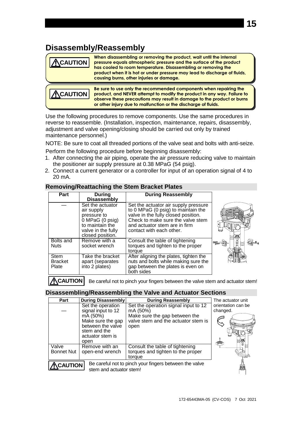## <span id="page-15-0"></span>**Disassembly/Reassembly**

| <b>CAUTION</b> | When disassembling or removing the product, wait until the internal<br>pressure equals atmospheric pressure and the surface of the product<br>has cooled to room temperature. Disassembling or removing the<br>product when it is hot or under pressure may lead to discharge of fluids,<br>causing burns, other injuries or damage. |
|----------------|--------------------------------------------------------------------------------------------------------------------------------------------------------------------------------------------------------------------------------------------------------------------------------------------------------------------------------------|
| <b>CAUTION</b> | Be sure to use only the recommended components when repairing the<br>product, and NEVER attempt to modify the product in any way. Failure to<br>observe these precautions may result in damage to the product or burns<br>or other injury due to malfunction or the discharge of fluids.                                             |

Use the following procedures to remove components. Use the same procedures in reverse to reassemble. (Installation, inspection, maintenance, repairs, disassembly, adjustment and valve opening/closing should be carried out only by trained maintenance personnel.)

NOTE: Be sure to coat all threaded portions of the valve seat and bolts with anti-seize.

Perform the following procedure before beginning disassembly:

- 1. After connecting the air piping, operate the air pressure reducing valve to maintain the positioner air supply pressure at 0.38 MPaG (54 psig).
- 2. Connect a current generator or a controller for input of an operation signal of 4 to 20 mA.

#### **Removing/Reattaching the Stem Bracket Plates**

| Part                            | <b>During</b><br><b>Disassembly</b>                                                                                               | <b>During Reassembly</b>                                                                                                                                                                                            |  |
|---------------------------------|-----------------------------------------------------------------------------------------------------------------------------------|---------------------------------------------------------------------------------------------------------------------------------------------------------------------------------------------------------------------|--|
|                                 | Set the actuator<br>air supply<br>pressure to<br>$0$ MPaG $(0$ psig)<br>to maintain the<br>valve in the fully<br>closed position. | Set the actuator air supply pressure<br>to 0 MPaG (0 psig) to maintain the<br>valve in the fully closed position.<br>Check to make sure the valve stem<br>and actuator stem are in firm<br>contact with each other. |  |
| Bolts and<br><b>Nuts</b>        | Remove with a<br>socket wrench                                                                                                    | Consult the table of tightening<br>torques and tighten to the proper<br>torque                                                                                                                                      |  |
| Stem<br><b>Bracket</b><br>Plate | Take the bracket<br>apart (separates<br>into 2 plates)                                                                            | After aligning the plates, tighten the<br>nuts and bolts while making sure the<br>gap between the plates is even on<br>both sides                                                                                   |  |

Be careful not to pinch your fingers between the valve stem and actuator stem! **ACAUTION** 

#### **Disassembling/Reassembling the Valve and Actuator Sections**

| Part                       | <b>During Disassembly</b>                                                                                                                 | <b>During Reassembly</b>                                                                                                         | The actuator unit              |
|----------------------------|-------------------------------------------------------------------------------------------------------------------------------------------|----------------------------------------------------------------------------------------------------------------------------------|--------------------------------|
|                            | Set the operation<br>signal input to 12<br>mA (50%)<br>Make sure the gap<br>between the valve<br>stem and the<br>actuator stem is<br>open | Set the operation signal input to 12<br>mA (50%)<br>Make sure the gap between the<br>valve stem and the actuator stem is<br>open | orientation can be<br>changed. |
| Valve<br><b>Bonnet Nut</b> | Remove with an<br>open-end wrench                                                                                                         | Consult the table of tightening<br>torques and tighten to the proper<br>torque                                                   |                                |
| <b>CAUTION</b>             | stem and actuator stem!                                                                                                                   | Be careful not to pinch your fingers between the valve                                                                           |                                |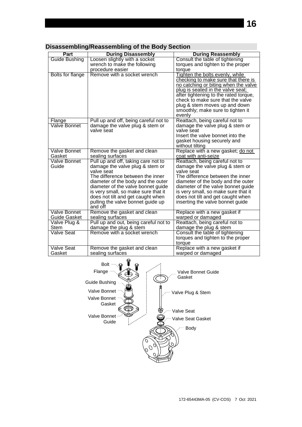#### **Disassembling/Reassembling of the Body Section**

| Part                          | <b>During Disassembly</b>                               | <b>During Reassembly</b>                                                   |
|-------------------------------|---------------------------------------------------------|----------------------------------------------------------------------------|
| <b>Guide Bushing</b>          | Loosen slightly with a socket                           | Consult the table of tightening                                            |
|                               | wrench to make the following                            | torques and tighten to the proper                                          |
|                               | procedure easier                                        | torque                                                                     |
| <b>Bolts for flange</b>       | Remove with a socket wrench                             | Tighten the bolts evenly, while                                            |
|                               |                                                         | checking to make sure that there is                                        |
|                               |                                                         | no catching or biting when the valve                                       |
|                               |                                                         | plug is seated in the valve seat;<br>after tightening to the rated torque, |
|                               |                                                         | check to make sure that the valve                                          |
|                               |                                                         | plug & stem moves up and down                                              |
|                               |                                                         | smoothly; make sure to tighten it                                          |
|                               |                                                         | evenly                                                                     |
| Flange                        | Pull up and off, being careful not to                   | Reattach, being careful not to                                             |
| Valve Bonnet                  | damage the valve plug & stem or                         | damage the valve plug & stem or                                            |
|                               | valve seat                                              | valve seat                                                                 |
|                               |                                                         | Insert the valve bonnet into the                                           |
|                               |                                                         | gasket housing securely and                                                |
|                               |                                                         | without tilting                                                            |
| <b>Valve Bonnet</b><br>Gasket | Remove the gasket and clean                             | Replace with a new gasket; do not                                          |
| <b>Valve Bonnet</b>           | sealing surfaces<br>Pull up and off, taking care not to | coat with anti-seize<br>Reattach, being careful not to                     |
| Guide                         | damage the valve plug & stem or                         | damage the valve plug & stem or                                            |
|                               | valve seat                                              | valve seat                                                                 |
|                               | The difference between the inner                        | The difference between the inner                                           |
|                               | diameter of the body and the outer                      | diameter of the body and the outer                                         |
|                               | diameter of the valve bonnet guide                      | diameter of the valve bonnet guide                                         |
|                               | is very small, so make sure that it                     | is very small, so make sure that it                                        |
|                               | does not tilt and get caught when                       | does not tilt and get caught when                                          |
|                               | pulling the valve bonnet guide up                       | inserting the valve bonnet guide                                           |
| <b>Valve Bonnet</b>           | and off                                                 |                                                                            |
| Guide Gasket                  | Remove the gasket and clean<br>sealing surfaces         | Replace with a new gasket if<br>warped or damaged                          |
| Valve Plug &                  | Pull up and out, being careful not to                   | Reattach, being careful not to                                             |
| <b>Stem</b>                   | damage the plug & stem                                  | damage the plug & stem                                                     |
| <b>Valve Seat</b>             | Remove with a socket wrench                             | Consult the table of tightening                                            |
|                               |                                                         | torques and tighten to the proper                                          |
|                               |                                                         | torque                                                                     |
| <b>Valve Seat</b>             | Remove the gasket and clean                             | Replace with a new gasket if                                               |
| Gasket                        | sealing surfaces                                        | warped or damaged                                                          |



172-65443MA-05 (CV-COS) 7 Oct 2021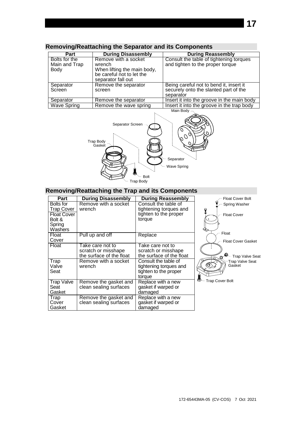**Part During Disassembly Buring Reassembly** Bolts for the Main and Trap Body Remove with a socket wrench When lifting the main body, be careful not to let the separator fall out Consult the table of tightening torques and tighten to the proper torque Separator **Screen** Remove the separator screen Being careful not to bend it, insert it securely onto the slanted part of the separator Separator Remove the separator Insert it into the groove in the main body<br>
Wave Spring Remove the wave spring Insert it into the groove in the trap body Insert it into the groove in the trap body

**17**



#### **Removing/Reattaching the Separator and its Components**

#### **Removing/Reattaching the Trap and its Components**

| Part                                | <b>During Disassembly</b>                                           | <b>During Reassembly</b>                                                          | <b>Float Cover Bolt</b>              |
|-------------------------------------|---------------------------------------------------------------------|-----------------------------------------------------------------------------------|--------------------------------------|
| Bolts for<br><b>Trap Cover</b>      | Remove with a socket<br>wrench                                      | Consult the table of<br>tightening torques and                                    | Spring Washer<br>Θ                   |
| <b>Float Cover</b><br>Bolt &        |                                                                     | tighten to the proper<br>torque                                                   | <b>Float Cover</b><br>$\bullet$      |
| Spring<br>Washers                   |                                                                     |                                                                                   |                                      |
| Float<br>Cover                      | Pull up and off                                                     | Replace                                                                           | Float<br><b>Float Cover Gasket</b>   |
| Float                               | Take care not to<br>scratch or misshape<br>the surface of the float | Take care not to<br>scratch or misshape<br>the surface of the float               | <b>C</b> Trap Valve Seat<br>$\alpha$ |
| Trap<br>Valve<br>Seat               | Remove with a socket<br>wrench                                      | Consult the table of<br>tightening torques and<br>tighten to the proper<br>torque | Trap Valve Seat<br>O.<br>Gasket      |
| <b>Trap Valve</b><br>Seat<br>Gasket | Remove the gasket and<br>clean sealing surfaces                     | Replace with a new<br>gasket if warped or<br>damaged                              | <sup>5</sup> - Trap Cover Bolt       |
| Trap<br>Cover<br>Gasket             | Remove the gasket and<br>clean sealing surfaces                     | Replace with a new<br>gasket if warped or<br>damaged                              |                                      |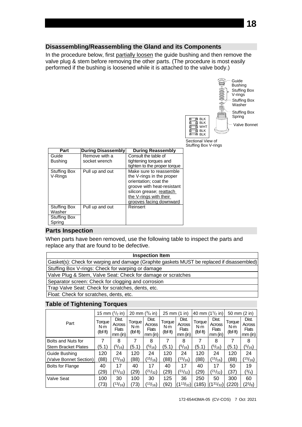#### **Disassembling/Reassembling the Gland and its Components**

In the procedure below, first partially loosen the guide bushing and then remove the valve plug & stem before removing the other parts. (The procedure is most easily performed if the bushing is loosened while it is attached to the valve body.)



**18**

| Part                           | <b>During Disassembly</b> | <b>During Reassembly</b>                                                                                                                                                                     |
|--------------------------------|---------------------------|----------------------------------------------------------------------------------------------------------------------------------------------------------------------------------------------|
| Guide                          | Remove with a             | Consult the table of                                                                                                                                                                         |
| <b>Bushing</b>                 | socket wrench             | tightening torques and                                                                                                                                                                       |
|                                |                           | tighten to the proper torque                                                                                                                                                                 |
| <b>Stuffing Box</b><br>V-Rings | Pull up and out           | Make sure to reassemble<br>the V-rings in the proper<br>orientation; coat the<br>groove with heat-resistant<br>silicon grease; reattach<br>the V-rings with their<br>grooves facing downward |
| Stuffing Box<br>Washer         | Pull up and out           | Reinsert                                                                                                                                                                                     |
| <b>Stuffing Box</b><br>Spring  |                           |                                                                                                                                                                                              |

#### **Parts Inspection**

When parts have been removed, use the following table to inspect the parts and replace any that are found to be defective.

| <b>Inspection Item</b>                                                                      |
|---------------------------------------------------------------------------------------------|
| Gasket(s): Check for warping and damage (Graphite gaskets MUST be replaced if disassembled) |
| Stuffing Box V-rings: Check for warping or damage                                           |
| Valve Plug & Stem, Valve Seat: Check for damage or scratches                                |
| Separator screen: Check for clogging and corrosion                                          |
| Trap Valve Seat: Check for scratches, dents, etc.                                           |
| Float: Check for scratches, dents, etc.                                                     |

#### **Table of Tightening Torques**

|                            |                           | 15 mm $(1/2$ in)                             |                                  | 20 mm $(^{3}/_{4}$ in)                |                                  | 25 mm (1 in)                          |                                  | 40 mm $(11/2$ in)                     |                                  | 50 mm (2 in)                          |
|----------------------------|---------------------------|----------------------------------------------|----------------------------------|---------------------------------------|----------------------------------|---------------------------------------|----------------------------------|---------------------------------------|----------------------------------|---------------------------------------|
| Part                       | Torque<br>N·m<br>(lbf-ft) | Dist.<br>Across<br><b>Flats</b><br>$mm$ (in) | Torque<br>N·m<br>$(Ibf\cdot ft)$ | Dist.<br>Across<br>Flats<br>$mm$ (in) | Torque<br>N·m<br>$(lbf\cdot ft)$ | Dist.<br>Across<br>Flats<br>$mm$ (in) | Torque<br>N·m<br>$(lbf\cdot ft)$ | Dist.<br>Across<br>Flats<br>$mm$ (in) | Torque<br>N·m<br>$(lbf\cdot ft)$ | Dist.<br>Across<br>Flats<br>$mm$ (in) |
| Bolts and Nuts for         | 7                         | 8                                            | 7                                | 8                                     | 7                                | 8                                     | 7                                | 8                                     | 7                                | 8                                     |
| <b>Stem Bracket Plates</b> | (5.1)                     | (5/16)                                       | (5.1)                            | $(^{5}/_{16})$                        | (5.1)                            | $(^{5}/_{16})$                        | (5.1)                            | $(^{5}/_{16})$                        | (5.1)                            | (5/16)                                |
| Guide Bushing              | 120                       | 24                                           | 120                              | 24                                    | 120                              | 24                                    | 120                              | 24                                    | 120                              | 24                                    |
| (Valve Bonnet Section)     | (88)                      | (15/16)                                      | (88)                             | (15/16)                               | (88)                             | (15/16)                               | (88)                             | (15/16)                               | (88)                             | (15/16)                               |
| <b>Bolts for Flange</b>    | 40                        | 17                                           | 40                               | 17                                    | 40                               | 17                                    | 40                               | 17                                    | 50                               | 19                                    |
|                            | (29)                      | (21/32)                                      | (29)                             | (21/32)                               | (29)                             | (21/32)                               | (29)                             | (21/32)                               | (37)                             | $\binom{3}{4}$                        |
| Valve Seat                 | 100                       | 30                                           | 100                              | 30                                    | 125                              | 36                                    | 250                              | 50                                    | 300                              | 60                                    |
|                            | (73)                      | (13/16)                                      | (73)                             | (13/16)                               | (92)                             | $(1^{13}/_{32})$                      | (185)                            | $(1^{31}/_{32})$                      | (220)                            | $(2^3/s)$                             |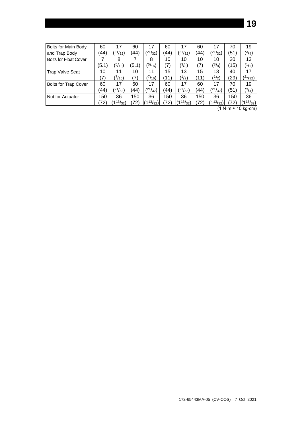**19**

| Bolts for Main Body          | 60            | 17               | 60    | 17             | 60   | 17               | 60   | 17               | 70   | 19               |
|------------------------------|---------------|------------------|-------|----------------|------|------------------|------|------------------|------|------------------|
| and Trap Body                | (44)          | $\binom{21}{32}$ | (44)  | (21/32)        | (44) | (21/32)          | (44) | (21/32)          | (51) | $(^{3}/_{4})$    |
| <b>Bolts for Float Cover</b> |               | 8                |       | 8              | 10   | 10               | 10   | 10               | 20   | 13               |
|                              | (5.1)         | $(^{5}/_{16})$   | (5.1) | $(^{5}/_{16})$ | (7)  | (3/8)            | (7)  | (3/8)            | (15) | (1/2)            |
| <b>Trap Valve Seat</b>       | 10            | 11               | 10    | 11             | 15   | 13               | 15   | 13               | 40   | 17               |
|                              | $\mathcal{T}$ | (7/16)           | (7)   | (7/16)         | (11) | (1/2)            | (11) | (1/2)            | (29) | (21/32)          |
| <b>Bolts for Trap Cover</b>  | 60            | 17               | 60    | 17             | 60   | 17               | 60   | 17               | 70   | 19               |
|                              | (44)          | $\binom{21}{32}$ | (44)  | (21/32)        | (44) | (21/32)          | (44) | (21/32)          | (51) | $\binom{3}{4}$   |
| Nut for Actuator             | 150           | 36               | 150   | 36             | 150  | 36               | 150  | 36               | 150  | 36               |
|                              | (72)          | $(1^{13}/_{32})$ | 72)   | $1^{13}/_{32}$ | (72) | $(1^{13}/_{32})$ | (72) | $(1^{13}/_{32})$ | (72) | $(1^{13}/_{32})$ |

(1 N·m ≈ 10 kg·cm)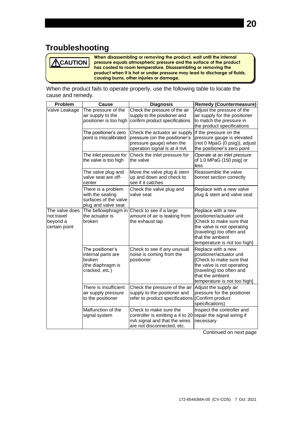## <span id="page-20-0"></span>**Troubleshooting**

**When disassembling or removing the product, wait until the internal pressure equals atmospheric pressure and the surface of the product has cooled to room temperature. Disassembling or removing the product when it is hot or under pressure may lead to discharge of fluids, causing burns, other injuries or damage. ACAUTION** 

When the product fails to operate properly, use the following table to locate the cause and remedy.

| Problem                                                   | <b>Cause</b>                                                                            | <b>Diagnosis</b>                                                                                                          | <b>Remedy (Countermeasure)</b>                                                                                                                                                            |
|-----------------------------------------------------------|-----------------------------------------------------------------------------------------|---------------------------------------------------------------------------------------------------------------------------|-------------------------------------------------------------------------------------------------------------------------------------------------------------------------------------------|
| Valve Leakage                                             | The pressure of the<br>air supply to the<br>positioner is too high                      | Check the pressure of the air<br>supply to the positioner and<br>confirm product specifications                           | Adjust the pressure of the<br>air supply for the positioner<br>to match the pressure in<br>the product specifications                                                                     |
|                                                           | The positioner's zero<br>point is miscalibrated                                         | Check the actuator air supply<br>pressure (on the positioner's<br>pressure gauge) when the<br>operation signal is at 4 mA | If the pressure on the<br>pressure gauge is elevated<br>(not 0 MpaG (0 psig)), adjust<br>the positioner's zero point                                                                      |
|                                                           | The inlet pressure for<br>the valve is too high                                         | Check the inlet pressure for<br>the valve                                                                                 | Operate at an inlet pressure<br>of 1.0 MPaG (150 psig) or<br>less                                                                                                                         |
|                                                           | The valve plug and<br>valve seat are off-<br>center                                     | Move the valve plug & stem<br>up and down and check to<br>see if it catches                                               | Reassemble the valve<br>bonnet section correctly                                                                                                                                          |
|                                                           | There is a problem<br>with the sealing<br>surfaces of the valve<br>plug and valve seat  | Check the valve plug and<br>valve seat                                                                                    | Replace with a new valve<br>plug & stem and valve seat                                                                                                                                    |
| The valve does<br>not travel<br>beyond a<br>certain point | The bellowphragm in<br>the actuator is<br>broken                                        | Check to see if a large<br>amount of air is leaking from<br>the exhaust tap                                               | Replace with a new<br>positioner/actuator unit<br>[Check to make sure that<br>the valve is not operating<br>(traveling) too often and<br>that the ambient<br>temperature is not too high] |
|                                                           | The positioner's<br>internal parts are<br>broken<br>(the diaphragm is<br>cracked, etc.) | Check to see if any unusual<br>noise is coming from the<br>positioner                                                     | Replace with a new<br>positioner/actuator unit<br>[Check to make sure that<br>the valve is not operating<br>(traveling) too often and<br>that the ambient<br>temperature is not too high] |
|                                                           | There is insufficient<br>air supply pressure<br>to the positioner                       | Check the pressure of the air<br>supply to the positioner and<br>refer to product specifications                          | Adjust the supply air<br>pressure for the positioner<br>(Confirm product<br>specifications)                                                                                               |
|                                                           | Malfunction of the<br>signal system                                                     | Check to make sure the<br>controller is emitting a 4 to 20<br>mA signal and that the wires<br>are not disconnected, etc.  | Inspect the controller and<br>repair the signal wiring if<br>necessary                                                                                                                    |

Continued on next page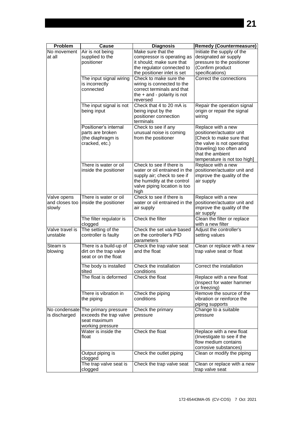| <b>Problem</b>                          | <b>Cause</b>                                                                                     | <b>Diagnosis</b>                                                                                                                                                | <b>Remedy (Countermeasure)</b>                                                                                                                                                            |
|-----------------------------------------|--------------------------------------------------------------------------------------------------|-----------------------------------------------------------------------------------------------------------------------------------------------------------------|-------------------------------------------------------------------------------------------------------------------------------------------------------------------------------------------|
| No movement<br>at all                   | Air is not being<br>supplied to the<br>positioner                                                | Make sure that the<br>compressor is operating as<br>it should; make sure that<br>the regulator connected to<br>the positioner inlet is set                      | Initiate the supply of the<br>designated air supply<br>pressure to the positioner<br>(Confirm product<br>specifications)                                                                  |
|                                         | The input signal wiring<br>is incorrectly<br>connected                                           | Check to make sure the<br>wiring is connected to the<br>correct terminals and that<br>the $+$ and - polarity is not<br>reversed                                 | Correct the connections                                                                                                                                                                   |
|                                         | The input signal is not<br>being input                                                           | Check that 4 to 20 mA is<br>being input by the<br>positioner connection<br>terminals                                                                            | Repair the operation signal<br>origin or repair the signal<br>wiring                                                                                                                      |
|                                         | Positioner's internal<br>parts are broken<br>(the diaphragm is<br>cracked, etc.)                 | Check to see if any<br>unusual noise is coming<br>from the positioner                                                                                           | Replace with a new<br>positioner/actuator unit<br>[Check to make sure that<br>the valve is not operating<br>(traveling) too often and<br>that the ambient<br>temperature is not too high] |
|                                         | There is water or oil<br>inside the positioner                                                   | Check to see if there is<br>water or oil entrained in the<br>supply air; check to see if<br>the humidity at the control<br>valve piping location is too<br>high | Replace with a new<br>positioner/actuator unit and<br>improve the quality of the<br>air supply                                                                                            |
| Valve opens<br>and closes too<br>slowly | There is water or oil<br>inside the positioner                                                   | Check to see if there is<br>water or oil entrained in the<br>air supply                                                                                         | Replace with a new<br>positioner/actuator unit and<br>improve the quality of the<br>air supply                                                                                            |
|                                         | The filter regulator is<br>clogged                                                               | Check the filter                                                                                                                                                | Clean the filter or replace<br>with a new filter                                                                                                                                          |
| Valve travel is<br>unstable             | The setting of the<br>controller is faulty                                                       | Check the set value based<br>on the controller's PID<br>parameters                                                                                              | Adjust the controller's<br>setting values                                                                                                                                                 |
| Steam is<br>blowing                     | There is a build-up of<br>dirt on the trap valve<br>seat or on the float                         | Check the trap valve seat<br>and the float                                                                                                                      | Clean or replace with a new<br>trap valve seat or float                                                                                                                                   |
|                                         | The body is installed<br>tilted                                                                  | Check the installation<br>conditions                                                                                                                            | Correct the installation                                                                                                                                                                  |
|                                         | The float is deformed                                                                            | Check the float                                                                                                                                                 | Replace with a new float<br>(Inspect for water hammer<br>or freezing)                                                                                                                     |
|                                         | There is vibration in<br>the piping                                                              | Check the piping<br>conditions                                                                                                                                  | Remove the source of the<br>vibration or reinforce the<br>piping supports                                                                                                                 |
| is discharged                           | No condensate The primary pressure<br>exceeds the trap valve<br>seat maximum<br>working pressure | Check the primary<br>pressure                                                                                                                                   | Change to a suitable<br>pressure                                                                                                                                                          |
|                                         | Water is inside the<br>float                                                                     | Check the float                                                                                                                                                 | Replace with a new float<br>(Investigate to see if the<br>flow medium contains<br>corrosive substances)                                                                                   |
|                                         | Output piping is<br>clogged                                                                      | Check the outlet piping                                                                                                                                         | Clean or modify the piping                                                                                                                                                                |
|                                         | The trap valve seat is<br>clogged                                                                | Check the trap valve seat                                                                                                                                       | Clean or replace with a new<br>trap valve seat                                                                                                                                            |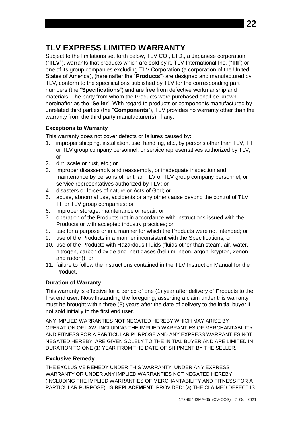## <span id="page-22-0"></span>**TLV EXPRESS LIMITED WARRANTY**

Subject to the limitations set forth below, TLV CO., LTD., a Japanese corporation ("**TLV**"), warrants that products which are sold by it, TLV International Inc. ("**TII**") or one of its group companies excluding TLV Corporation (a corporation of the United States of America), (hereinafter the "**Products**") are designed and manufactured by TLV, conform to the specifications published by TLV for the corresponding part numbers (the "**Specifications**") and are free from defective workmanship and materials. The party from whom the Products were purchased shall be known hereinafter as the "**Seller**". With regard to products or components manufactured by unrelated third parties (the "**Components**"), TLV provides no warranty other than the warranty from the third party manufacturer(s), if any.

#### **Exceptions to Warranty**

This warranty does not cover defects or failures caused by:

- 1. improper shipping, installation, use, handling, etc., by persons other than TLV, TII or TLV group company personnel, or service representatives authorized by TLV; or
- 2. dirt, scale or rust, etc.; or
- 3. improper disassembly and reassembly, or inadequate inspection and maintenance by persons other than TLV or TLV group company personnel, or service representatives authorized by TLV; or
- 4. disasters or forces of nature or Acts of God; or
- 5. abuse, abnormal use, accidents or any other cause beyond the control of TLV, TII or TLV group companies; or
- 6. improper storage, maintenance or repair; or
- 7. operation of the Products not in accordance with instructions issued with the Products or with accepted industry practices; or
- 8. use for a purpose or in a manner for which the Products were not intended; or
- 9. use of the Products in a manner inconsistent with the Specifications; or
- 10. use of the Products with Hazardous Fluids (fluids other than steam, air, water, nitrogen, carbon dioxide and inert gases (helium, neon, argon, krypton, xenon and radon)); or
- 11. failure to follow the instructions contained in the TLV Instruction Manual for the Product.

#### **Duration of Warranty**

This warranty is effective for a period of one (1) year after delivery of Products to the first end user. Notwithstanding the foregoing, asserting a claim under this warranty must be brought within three (3) years after the date of delivery to the initial buyer if not sold initially to the first end user.

ANY IMPLIED WARRANTIES NOT NEGATED HEREBY WHICH MAY ARISE BY OPERATION OF LAW, INCLUDING THE IMPLIED WARRANTIES OF MERCHANTABILITY AND FITNESS FOR A PARTICULAR PURPOSE AND ANY EXPRESS WARRANTIES NOT NEGATED HEREBY, ARE GIVEN SOLELY TO THE INITIAL BUYER AND ARE LIMITED IN DURATION TO ONE (1) YEAR FROM THE DATE OF SHIPMENT BY THE SELLER.

#### **Exclusive Remedy**

THE EXCLUSIVE REMEDY UNDER THIS WARRANTY, UNDER ANY EXPRESS WARRANTY OR UNDER ANY IMPLIED WARRANTIES NOT NEGATED HEREBY (INCLUDING THE IMPLIED WARRANTIES OF MERCHANTABILITY AND FITNESS FOR A PARTICULAR PURPOSE), IS **REPLACEMENT**; PROVIDED: (a) THE CLAIMED DEFECT IS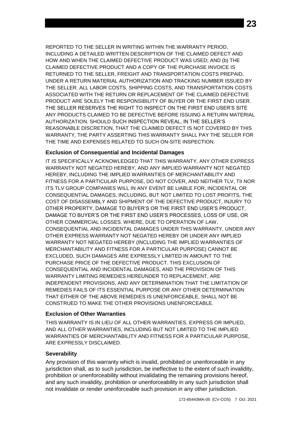REPORTED TO THE SELLER IN WRITING WITHIN THE WARRANTY PERIOD, INCLUDING A DETAILED WRITTEN DESCRIPTION OF THE CLAIMED DEFECT AND HOW AND WHEN THE CLAIMED DEFECTIVE PRODUCT WAS USED; AND (b) THE CLAIMED DEFECTIVE PRODUCT AND A COPY OF THE PURCHASE INVOICE IS RETURNED TO THE SELLER, FREIGHT AND TRANSPORTATION COSTS PREPAID, UNDER A RETURN MATERIAL AUTHORIZATION AND TRACKING NUMBER ISSUED BY THE SELLER. ALL LABOR COSTS, SHIPPING COSTS, AND TRANSPORTATION COSTS ASSOCIATED WITH THE RETURN OR REPLACEMENT OF THE CLAIMED DEFECTIVE PRODUCT ARE SOLELY THE RESPONSIBILITY OF BUYER OR THE FIRST END USER. THE SELLER RESERVES THE RIGHT TO INSPECT ON THE FIRST END USER'S SITE ANY PRODUCTS CLAIMED TO BE DEFECTIVE BEFORE ISSUING A RETURN MATERIAL AUTHORIZATION. SHOULD SUCH INSPECTION REVEAL, IN THE SELLER'S REASONABLE DISCRETION, THAT THE CLAIMED DEFECT IS NOT COVERED BY THIS WARRANTY, THE PARTY ASSERTING THIS WARRANTY SHALL PAY THE SELLER FOR THE TIME AND EXPENSES RELATED TO SUCH ON-SITE INSPECTION.

#### **Exclusion of Consequential and Incidental Damages**

IT IS SPECIFICALLY ACKNOWLEDGED THAT THIS WARRANTY, ANY OTHER EXPRESS WARRANTY NOT NEGATED HEREBY, AND ANY IMPLIED WARRANTY NOT NEGATED HEREBY, INCLUDING THE IMPLIED WARRANTIES OF MERCHANTABILITY AND FITNESS FOR A PARTICULAR PURPOSE, DO NOT COVER, AND NEITHER TLV, TII NOR ITS TLV GROUP COMPANIES WILL IN ANY EVENT BE LIABLE FOR, INCIDENTAL OR CONSEQUENTIAL DAMAGES, INCLUDING, BUT NOT LIMITED TO LOST PROFITS, THE COST OF DISASSEMBLY AND SHIPMENT OF THE DEFECTIVE PRODUCT, INJURY TO OTHER PROPERTY, DAMAGE TO BUYER'S OR THE FIRST END USER'S PRODUCT, DAMAGE TO BUYER'S OR THE FIRST END USER'S PROCESSES, LOSS OF USE, OR OTHER COMMERCIAL LOSSES. WHERE, DUE TO OPERATION OF LAW, CONSEQUENTIAL AND INCIDENTAL DAMAGES UNDER THIS WARRANTY, UNDER ANY OTHER EXPRESS WARRANTY NOT NEGATED HEREBY OR UNDER ANY IMPLIED WARRANTY NOT NEGATED HEREBY (INCLUDING THE IMPLIED WARRANTIES OF MERCHANTABILITY AND FITNESS FOR A PARTICULAR PURPOSE) CANNOT BE EXCLUDED, SUCH DAMAGES ARE EXPRESSLY LIMITED IN AMOUNT TO THE PURCHASE PRICE OF THE DEFECTIVE PRODUCT. THIS EXCLUSION OF CONSEQUENTIAL AND INCIDENTAL DAMAGES, AND THE PROVISION OF THIS WARRANTY LIMITING REMEDIES HEREUNDER TO REPLACEMENT, ARE INDEPENDENT PROVISIONS, AND ANY DETERMINATION THAT THE LIMITATION OF REMEDIES FAILS OF ITS ESSENTIAL PURPOSE OR ANY OTHER DETERMINATION THAT EITHER OF THE ABOVE REMEDIES IS UNENFORCEABLE, SHALL NOT BE CONSTRUED TO MAKE THE OTHER PROVISIONS UNENFORCEABLE.

#### **Exclusion of Other Warranties**

THIS WARRANTY IS IN LIEU OF ALL OTHER WARRANTIES, EXPRESS OR IMPLIED, AND ALL OTHER WARRANTIES, INCLUDING BUT NOT LIMITED TO THE IMPLIED WARRANTIES OF MERCHANTABILITY AND FITNESS FOR A PARTICULAR PURPOSE, ARE EXPRESSLY DISCLAIMED.

#### **Severability**

Any provision of this warranty which is invalid, prohibited or unenforceable in any jurisdiction shall, as to such jurisdiction, be ineffective to the extent of such invalidity, prohibition or unenforceability without invalidating the remaining provisions hereof, and any such invalidity, prohibition or unenforceability in any such jurisdiction shall not invalidate or render unenforceable such provision in any other jurisdiction.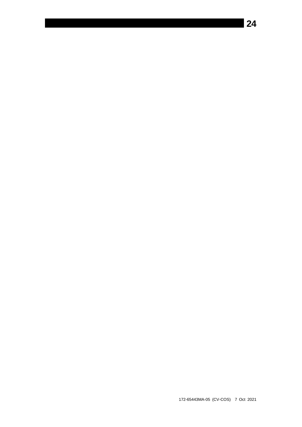172-65443MA-05 (CV-COS) 7 Oct 2021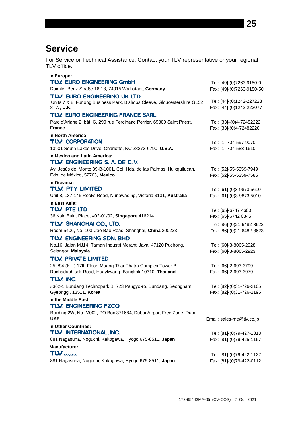**25**

## <span id="page-25-0"></span>**Service**

For Service or Technical Assistance: Contact your TLV representative or your regional TLV office.

| In Europe:                                                                                             |                                                      |
|--------------------------------------------------------------------------------------------------------|------------------------------------------------------|
| <b>TLV. EURO ENGINEERING GmbH</b>                                                                      | Tel: [49]-(0)7263-9150-0                             |
| Daimler-Benz-Straße 16-18, 74915 Waibstadt, Germany                                                    | Fax: [49]-(0)7263-9150-50                            |
| TLV. EURO ENGINEERING UK LTD.                                                                          |                                                      |
| Units 7 & 8, Furlong Business Park, Bishops Cleeve, Gloucestershire GL52<br>8TW, U.K.                  | Tel: [44]-(0)1242-227223<br>Fax: [44]-(0)1242-223077 |
| <b>TLV EURO ENGINEERING FRANCE SARL</b>                                                                |                                                      |
| Parc d'Ariane 2, bât. C, 290 rue Ferdinand Perrier, 69800 Saint Priest,<br><b>France</b>               | Tel: [33]-(0)4-72482222<br>Fax: [33]-(0)4-72482220   |
| In North America:                                                                                      |                                                      |
| <b>TLV. CORPORATION</b>                                                                                | Tel: [1]-704-597-9070                                |
| 13901 South Lakes Drive, Charlotte, NC 28273-6790, U.S.A.                                              | Fax: [1]-704-583-1610                                |
| In Mexico and Latin America:<br><b>TLV. ENGINEERING S. A. DE C. V.</b>                                 |                                                      |
| Av. Jesús del Monte 39-B-1001, Col. Hda. de las Palmas, Huixquilucan,<br>Edo. de México, 52763, Mexico | Tel: [52]-55-5359-7949<br>Fax: [52]-55-5359-7585     |
| In Oceania:                                                                                            |                                                      |
| <b>TLV. PTY LIMITED</b>                                                                                | Tel: [61]-(0)3-9873 5610                             |
| Unit 8, 137-145 Rooks Road, Nunawading, Victoria 3131, Australia                                       | Fax: [61]-(0)3-9873 5010                             |
| In East Asia:                                                                                          |                                                      |
| <b>TLV. PTE LTD</b>                                                                                    | Tel: [65]-6747 4600                                  |
| 36 Kaki Bukit Place, #02-01/02, Singapore 416214                                                       | Fax: [65]-6742 0345                                  |
| TLV. SHANGHAI CO., LTD.                                                                                | Tel: [86]-(0)21-6482-8622                            |
| Room 5406, No. 103 Cao Bao Road, Shanghai, China 200233                                                | Fax: [86]-(0)21-6482-8623                            |
| TLV. ENGINEERING SDN. BHD.                                                                             |                                                      |
| No.16, Jalan MJ14, Taman Industri Meranti Jaya, 47120 Puchong,<br>Selangor, Malaysia                   | Tel: [60]-3-8065-2928<br>Fax: [60]-3-8065-2923       |
| <b>TLV PRIVATE LIMITED</b>                                                                             |                                                      |
| 252/94 (K-L) 17th Floor, Muang Thai-Phatra Complex Tower B,                                            | Tel: [66]-2-693-3799                                 |
| Rachadaphisek Road, Huaykwang, Bangkok 10310, Thailand                                                 | Fax: [66]-2-693-3979                                 |
| TLV. INC.                                                                                              |                                                      |
| #302-1 Bundang Technopark B, 723 Pangyo-ro, Bundang, Seongnam,                                         | Tel: [82]-(0)31-726-2105                             |
| Gyeonggi, 13511, Korea                                                                                 | Fax: [82]-(0)31-726-2195                             |
| In the Middle East:<br><b>TLV. ENGINEERING FZCO</b>                                                    |                                                      |
| Building 2W, No. M002, PO Box 371684, Dubai Airport Free Zone, Dubai,                                  |                                                      |
| <b>UAE</b>                                                                                             | Email: sales-me@tlv.co.jp                            |
| In Other Countries:                                                                                    |                                                      |
| TLV. INTERNATIONAL, INC.                                                                               | Tel: [81]-(0)79-427-1818                             |
| 881 Nagasuna, Noguchi, Kakogawa, Hyogo 675-8511, Japan                                                 | Fax: [81]-(0)79-425-1167                             |
| <b>Manufacturer:</b>                                                                                   |                                                      |
| $T\mathbf{L}$                                                                                          | Tel: [81]-(0)79-422-1122                             |
| 881 Nagasuna, Noguchi, Kakogawa, Hyogo 675-8511, Japan                                                 | Fax: [81]-(0)79-422-0112                             |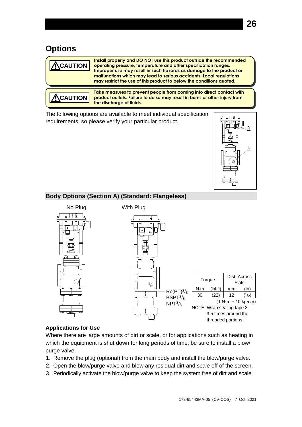#### <span id="page-26-0"></span>**Options Install properly and DO NOT use this product outside the recommended operating pressure, temperature and other specification ranges. Improper use may result in such hazards as damage to the product or malfunctions which may lead to serious accidents. Local regulations may restrict the use of this product to below the conditions quoted. CAUTION Take measures to prevent people from coming into direct contact with product outlets. Failure to do so may result in burns or other injury from the discharge of fluids. ACAUTION**

The following options are available to meet individual specification requirements, so please verify your particular product.



**26**

#### **Body Options (Section A) (Standard: Flangeless)**



#### **Applications for Use**

Where there are large amounts of dirt or scale, or for applications such as heating in which the equipment is shut down for long periods of time, be sure to install a blow/ purge valve.

- 1. Remove the plug (optional) from the main body and install the blow/purge valve.
- 2. Open the blow/purge valve and blow any residual dirt and scale off of the screen.
- 3. Periodically activate the blow/purge valve to keep the system free of dirt and scale.